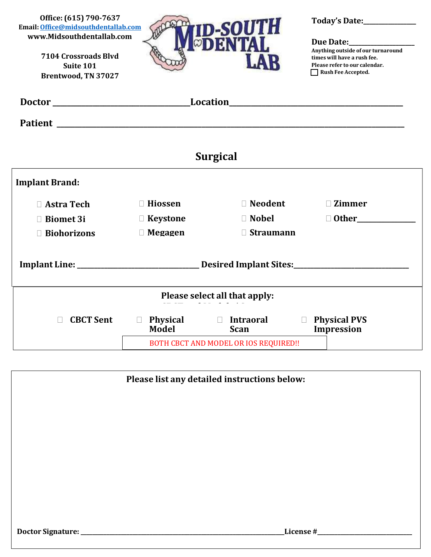**Office: (615) 790-7637 Email[:Office@midsouthdentallab.com](mailto:Office@midsouthdentallab.com) [www.Midsouthdentallab.com](http://www.midsouthdentallab.com/)**

> **7104 Crossroads Blvd Suite 101 Brentwood, TN 37027**



**Today's Date:\_\_\_\_\_\_\_\_\_\_\_\_\_\_\_\_\_**

#### **Due Date:\_\_\_\_\_\_\_\_\_\_\_\_\_\_\_\_\_\_\_\_\_**

**Anything outside of our turnaround times will have a rush fee. Please refer to our calendar. Rush Fee Accepted.**

| Doctor                        |                                        |                                    | Location <b>Execution</b>                          |  |  |  |
|-------------------------------|----------------------------------------|------------------------------------|----------------------------------------------------|--|--|--|
|                               |                                        |                                    |                                                    |  |  |  |
| <b>Surgical</b>               |                                        |                                    |                                                    |  |  |  |
| <b>Implant Brand:</b>         |                                        |                                    |                                                    |  |  |  |
| $\Box$ Astra Tech             | $\Box$ Hiossen                         | □ Neodent                          | <b>Zimmer</b><br>П                                 |  |  |  |
| <b>Biomet 3i</b>              | $\Box$ Keystone                        | $\Box$ Nobel                       |                                                    |  |  |  |
| <b>Biohorizons</b>            | $\Box$ Megagen                         | $\Box$ Straumann                   |                                                    |  |  |  |
|                               |                                        |                                    |                                                    |  |  |  |
| Please select all that apply: |                                        |                                    |                                                    |  |  |  |
| <b>CBCT Sent</b>              | $\Box$<br><b>Model</b>                 | Physical Dintraoral<br><b>Scan</b> | <b>Physical PVS</b><br>$\Box$<br><b>Impression</b> |  |  |  |
|                               | BOTH CBCT AND MODEL OR IOS REQUIRED !! |                                    |                                                    |  |  |  |

| Please list any detailed instructions below: |  |           |
|----------------------------------------------|--|-----------|
|                                              |  |           |
|                                              |  |           |
|                                              |  |           |
|                                              |  |           |
|                                              |  |           |
|                                              |  |           |
|                                              |  |           |
| Doctor Signature:                            |  | License # |